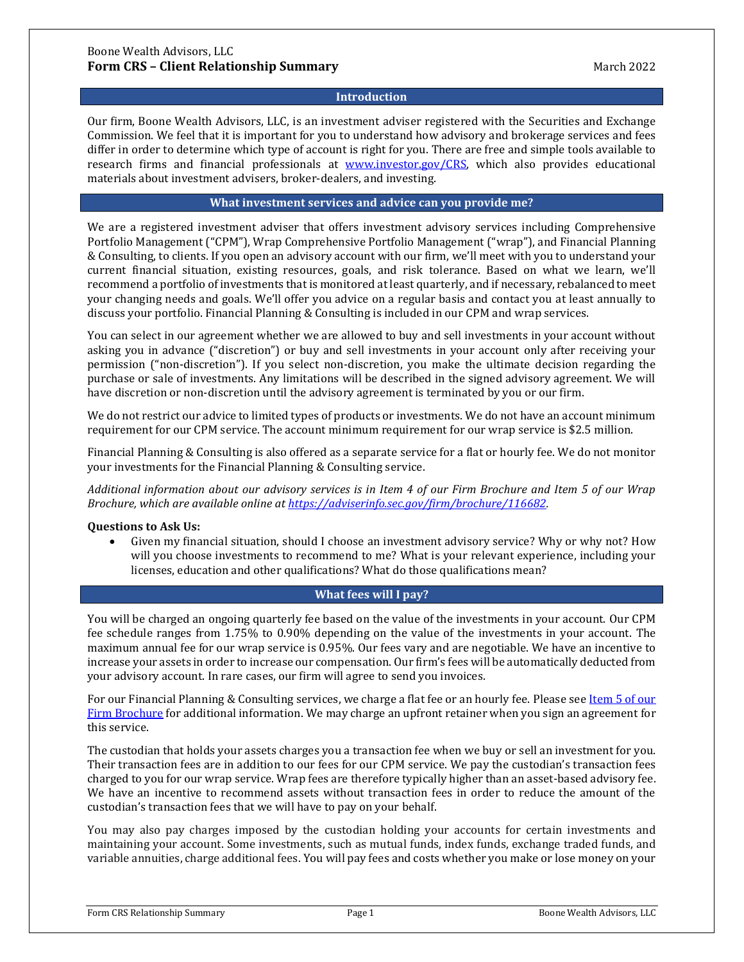### **Introduction**

Our firm, Boone Wealth Advisors, LLC, is an investment adviser registered with the Securities and Exchange Commission. We feel that it is important for you to understand how advisory and brokerage services and fees differ in order to determine which type of account is right for you. There are free and simple tools available to research firms and financial professionals at [www.investor.gov/CRS,](http://www.investor.gov/CRS) which also provides educational materials about investment advisers, broker-dealers, and investing.

### **What investment services and advice can you provide me?**

We are a registered investment adviser that offers investment advisory services including Comprehensive Portfolio Management ("CPM"), Wrap Comprehensive Portfolio Management ("wrap"), and Financial Planning & Consulting, to clients. If you open an advisory account with our firm, we'll meet with you to understand your current financial situation, existing resources, goals, and risk tolerance. Based on what we learn, we'll recommend a portfolio of investments that is monitored at least quarterly, and if necessary, rebalanced to meet your changing needs and goals. We'll offer you advice on a regular basis and contact you at least annually to discuss your portfolio. Financial Planning & Consulting is included in our CPM and wrap services.

You can select in our agreement whether we are allowed to buy and sell investments in your account without asking you in advance ("discretion") or buy and sell investments in your account only after receiving your permission ("non-discretion"). If you select non-discretion, you make the ultimate decision regarding the purchase or sale of investments. Any limitations will be described in the signed advisory agreement. We will have discretion or non-discretion until the advisory agreement is terminated by you or our firm.

We do not restrict our advice to limited types of products or investments. We do not have an account minimum requirement for our CPM service. The account minimum requirement for our wrap service is \$2.5 million.

Financial Planning & Consulting is also offered as a separate service for a flat or hourly fee. We do not monitor your investments for the Financial Planning & Consulting service.

*Additional information about our advisory services is in Item 4 of our Firm Brochure and Item 5 of our Wrap Brochure, which are available online at [https://adviserinfo.sec.gov/firm/brochure/116682.](https://adviserinfo.sec.gov/firm/brochure/116682)*

#### **Questions to Ask Us:**

• Given my financial situation, should I choose an investment advisory service? Why or why not? How will you choose investments to recommend to me? What is your relevant experience, including your licenses, education and other qualifications? What do those qualifications mean?

# **What fees will I pay?**

You will be charged an ongoing quarterly fee based on the value of the investments in your account. Our CPM fee schedule ranges from 1.75% to 0.90% depending on the value of the investments in your account. The maximum annual fee for our wrap service is 0.95%. Our fees vary and are negotiable. We have an incentive to increase your assets in order to increase our compensation. Our firm's fees will be automatically deducted from your advisory account. In rare cases, our firm will agree to send you invoices.

For our Financial Planning & Consulting services, we charge a flat fee or an hourly fee. Please see <u>Item 5 of our</u> [Firm Brochure](https://adviserinfo.sec.gov/firm/brochure/116682) for additional information. We may charge an upfront retainer when you sign an agreement for this service.

The custodian that holds your assets charges you a transaction fee when we buy or sell an investment for you. Their transaction fees are in addition to our fees for our CPM service. We pay the custodian's transaction fees charged to you for our wrap service. Wrap fees are therefore typically higher than an asset-based advisory fee. We have an incentive to recommend assets without transaction fees in order to reduce the amount of the custodian's transaction fees that we will have to pay on your behalf.

You may also pay charges imposed by the custodian holding your accounts for certain investments and maintaining your account. Some investments, such as mutual funds, index funds, exchange traded funds, and variable annuities, charge additional fees. You will pay fees and costs whether you make or lose money on your